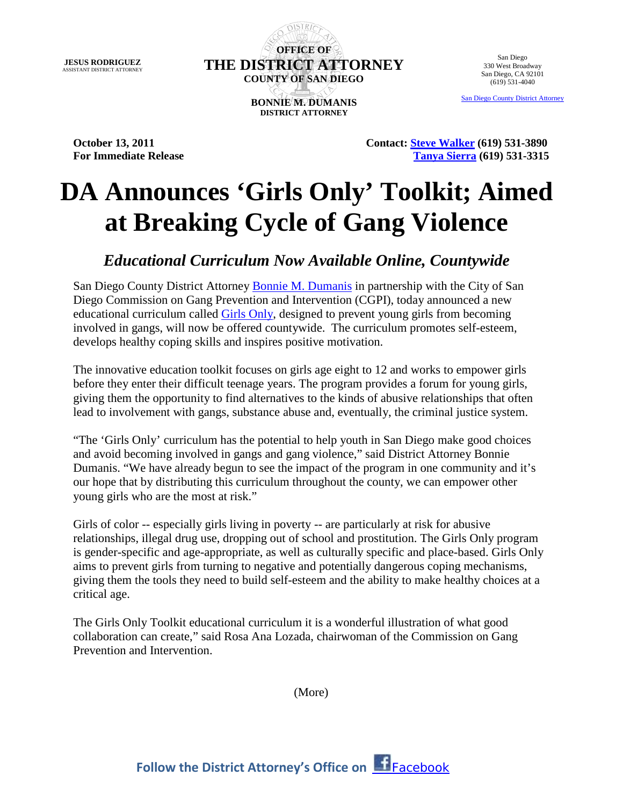**JESUS RODRIGUEZ** ASSISTANT DISTRICT ATTORNEY



San Diego 330 West Broadway San Diego, CA 92101 (619) 531-4040

[San Diego County District Attorney](http://www.sdcda.org/)

**BONNIE M. DUMANIS DISTRICT ATTORNEY**

**October 13, 2011 Contact: [Steve Walker](mailto:steve.walker@sdcda.org) (619) 531-3890 For Immediate Release [Tanya Sierra](mailto:tanya.sierra@sdcda.org) (619) 531-3315**

## **DA Announces 'Girls Only' Toolkit; Aimed at Breaking Cycle of Gang Violence**

*Educational Curriculum Now Available Online, Countywide*

San Diego County District Attorney [Bonnie M. Dumanis](http://www.sdcda.org/office/meet-da.html) in partnership with the City of San Diego Commission on Gang Prevention and Intervention (CGPI), today announced a new educational curriculum called [Girls Only,](http://daweb/office/girlsonlytoolkit/index.html) designed to prevent young girls from becoming involved in gangs, will now be offered countywide. The curriculum promotes self-esteem, develops healthy coping skills and inspires positive motivation.

The innovative education toolkit focuses on girls age eight to 12 and works to empower girls before they enter their difficult teenage years. The program provides a forum for young girls, giving them the opportunity to find alternatives to the kinds of abusive relationships that often lead to involvement with gangs, substance abuse and, eventually, the criminal justice system.

"The 'Girls Only' curriculum has the potential to help youth in San Diego make good choices and avoid becoming involved in gangs and gang violence," said District Attorney Bonnie Dumanis. "We have already begun to see the impact of the program in one community and it's our hope that by distributing this curriculum throughout the county, we can empower other young girls who are the most at risk."

Girls of color -- especially girls living in poverty -- are particularly at risk for abusive relationships, illegal drug use, dropping out of school and prostitution. The Girls Only program is gender-specific and age-appropriate, as well as culturally specific and place-based. Girls Only aims to prevent girls from turning to negative and potentially dangerous coping mechanisms, giving them the tools they need to build self-esteem and the ability to make healthy choices at a critical age.

The Girls Only Toolkit educational curriculum it is a wonderful illustration of what good collaboration can create," said Rosa Ana Lozada, chairwoman of the Commission on Gang Prevention and Intervention.

(More)